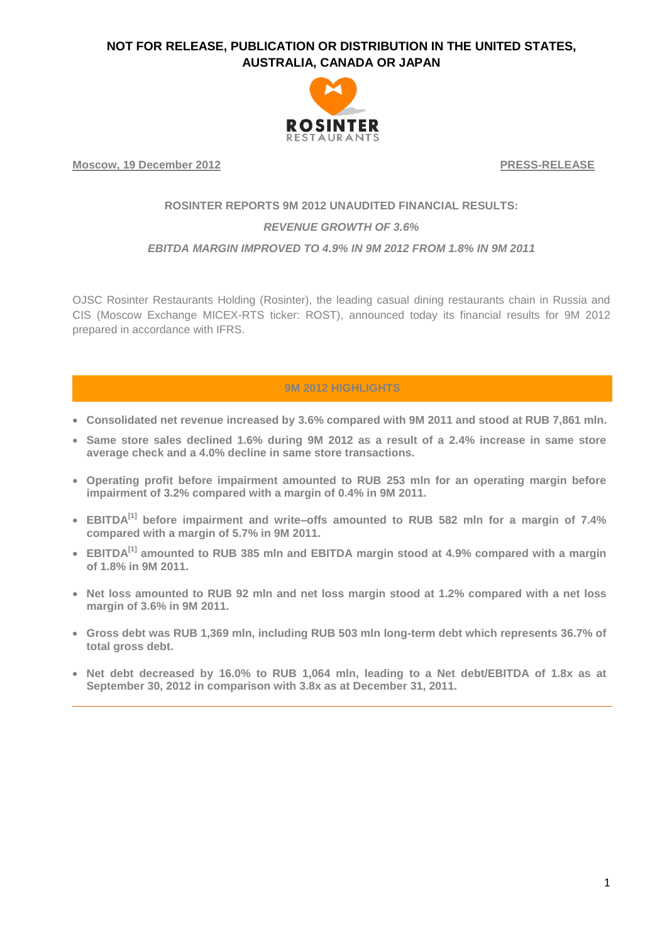

**Moscow, 19 December 2012 PRESS-RELEASE**

# **ROSINTER REPORTS 9M 2012 UNAUDITED FINANCIAL RESULTS:** *REVENUE GROWTH OF 3.6%*

#### *EBITDA MARGIN IMPROVED TO 4.9% IN 9M 2012 FROM 1.8% IN 9M 2011*

OJSC Rosinter Restaurants Holding (Rosinter), the leading casual dining restaurants chain in Russia and CIS (Moscow Exchange MICEX-RTS ticker: ROST), announced today its financial results for 9M 2012 prepared in accordance with IFRS.

#### **9M 2012 HIGHLIGHTS**

- **Consolidated net revenue increased by 3.6% compared with 9M 2011 and stood at RUB 7,861 mln.**
- **Same store sales declined 1.6% during 9M 2012 as a result of a 2.4% increase in same store average check and a 4.0% decline in same store transactions.**
- **Operating profit before impairment amounted to RUB 253 mln for an operating margin before impairment of 3.2% compared with a margin of 0.4% in 9M 2011.**
- **EBITDA[1] before impairment and write–offs amounted to RUB 582 mln for a margin of 7.4% compared with a margin of 5.7% in 9M 2011.**
- **EBITDA[1] amounted to RUB 385 mln and EBITDA margin stood at 4.9% compared with a margin of 1.8% in 9M 2011.**
- **Net loss amounted to RUB 92 mln and net loss margin stood at 1.2% compared with a net loss margin of 3.6% in 9M 2011.**
- **Gross debt was RUB 1,369 mln, including RUB 503 mln long-term debt which represents 36.7% of total gross debt.**
- **Net debt decreased by 16.0% to RUB 1,064 mln, leading to a Net debt/EBITDA of 1.8x as at September 30, 2012 in comparison with 3.8x as at December 31, 2011.**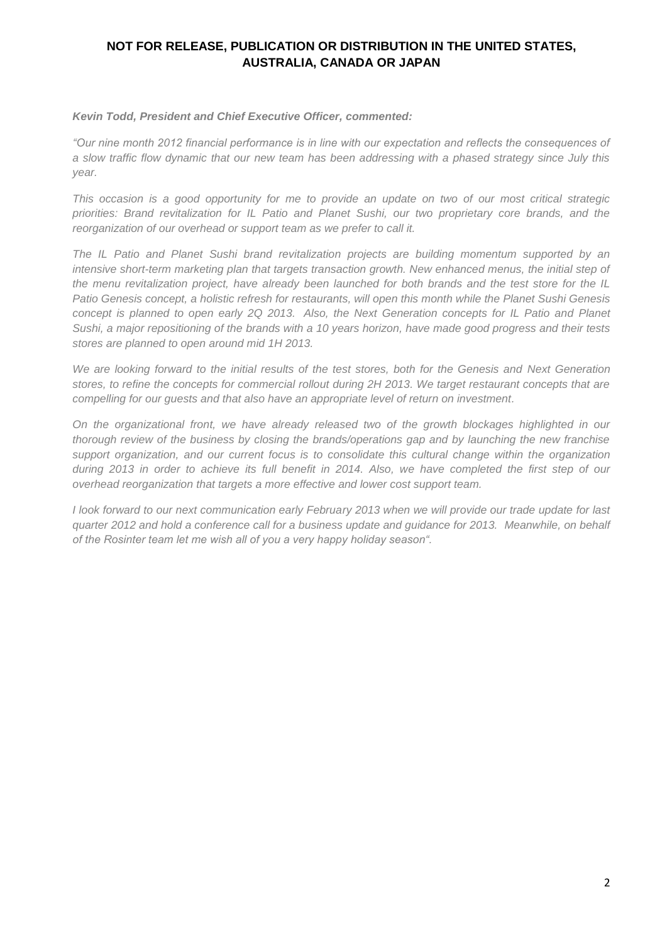#### *Kevin Todd, President and Chief Executive Officer, commented:*

*"Our nine month 2012 financial performance is in line with our expectation and reflects the consequences of a slow traffic flow dynamic that our new team has been addressing with a phased strategy since July this year.*

*This occasion is a good opportunity for me to provide an update on two of our most critical strategic priorities: Brand revitalization for IL Patio and Planet Sushi, our two proprietary core brands, and the reorganization of our overhead or support team as we prefer to call it.*

*The IL Patio and Planet Sushi brand revitalization projects are building momentum supported by an intensive short-term marketing plan that targets transaction growth. New enhanced menus, the initial step of the menu revitalization project, have already been launched for both brands and the test store for the IL Patio Genesis concept, a holistic refresh for restaurants, will open this month while the Planet Sushi Genesis concept is planned to open early 2Q 2013. Also, the Next Generation concepts for IL Patio and Planet Sushi, a major repositioning of the brands with a 10 years horizon, have made good progress and their tests stores are planned to open around mid 1H 2013.* 

*We are looking forward to the initial results of the test stores, both for the Genesis and Next Generation stores, to refine the concepts for commercial rollout during 2H 2013. We target restaurant concepts that are compelling for our guests and that also have an appropriate level of return on investment.*

*On the organizational front, we have already released two of the growth blockages highlighted in our thorough review of the business by closing the brands/operations gap and by launching the new franchise support organization, and our current focus is to consolidate this cultural change within the organization during 2013 in order to achieve its full benefit in 2014. Also, we have completed the first step of our overhead reorganization that targets a more effective and lower cost support team.*

*I look forward to our next communication early February 2013 when we will provide our trade update for last quarter 2012 and hold a conference call for a business update and guidance for 2013. Meanwhile, on behalf of the Rosinter team let me wish all of you a very happy holiday season".*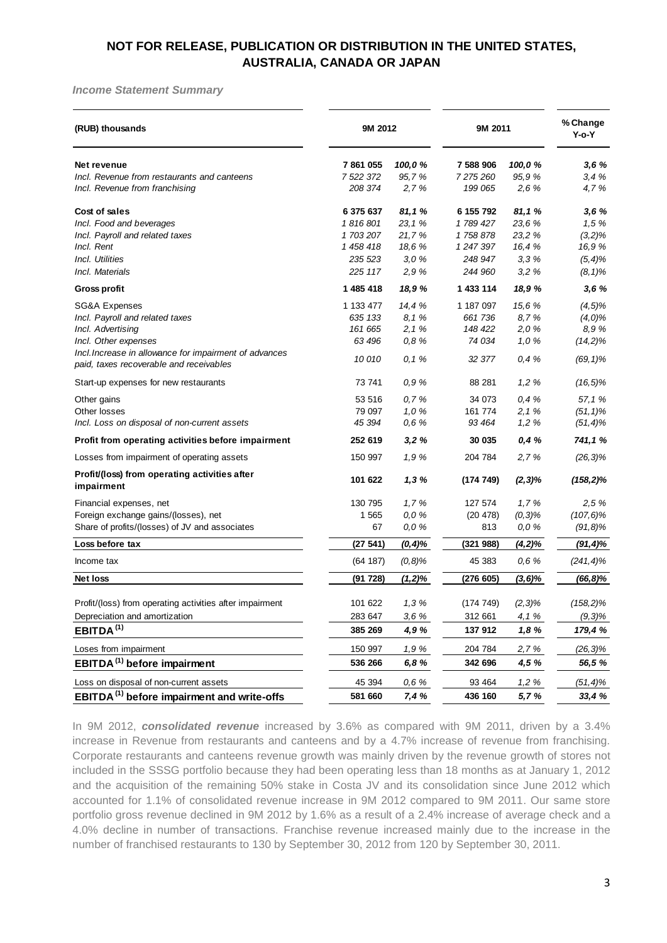#### *Income Statement Summary*

| (RUB) thousands                                                                                   | 9M 2012              |                  | 9M 2011                |                 | % Change<br>Y-o-Y |
|---------------------------------------------------------------------------------------------------|----------------------|------------------|------------------------|-----------------|-------------------|
| Net revenue<br>Incl. Revenue from restaurants and canteens                                        | 7861055<br>7 522 372 | 100,0%<br>95,7%  | 7 588 906<br>7 275 260 | 100,0%<br>95,9% | 3,6%<br>3,4%      |
| Incl. Revenue from franchising                                                                    | 208 374              | 2,7%             | 199 065                | 2,6%            | 4,7%              |
| Cost of sales<br>Incl. Food and beverages                                                         | 6 375 637<br>1816801 | 81,1%<br>23, 1 % | 6 155 792<br>1789 427  | 81,1%<br>23,6%  | 3,6%<br>1,5%      |
| Incl. Payroll and related taxes                                                                   | 1703207              | 21,7%            | 1758878                | 23,2 %          | $(3,2)\%$         |
| Incl. Rent                                                                                        | 1 458 418            | 18,6%            | 1 247 397              | 16,4%           | 16,9%             |
| Incl. Utilities                                                                                   | 235 523              | 3,0%             | 248 947                | 3,3%            | $(5, 4)$ %        |
| Incl. Materials                                                                                   | 225 117              | 2,9%             | 244 960                | 3,2%            | $(8, 1)\%$        |
| <b>Gross profit</b>                                                                               | 1 485 418            | 18,9%            | 1 433 114              | 18,9%           | 3,6%              |
| <b>SG&amp;A Expenses</b>                                                                          | 1 133 477            | 14,4 %           | 1 187 097              | 15,6 %          | $(4, 5)$ %        |
| Incl. Payroll and related taxes                                                                   | 635 133              | 8,1%             | 661 736                | 8,7%            | $(4,0)\%$         |
| Incl. Advertising                                                                                 | 161 665              | 2, 1%            | 148 422                | 2,0%            | 8,9%              |
| Incl. Other expenses                                                                              | 63 496               | 0,8%             | 74 034                 | 1,0%            | $(14,2)\%$        |
| Incl. Increase in allowance for impairment of advances<br>paid, taxes recoverable and receivables | 10010                | 0, 1%            | 32 377                 | 0,4%            | $(69, 1)\%$       |
| Start-up expenses for new restaurants                                                             | 73 741               | 0,9%             | 88 281                 | 1,2%            | $(16, 5)\%$       |
| Other gains                                                                                       | 53 516               | 0,7%             | 34 073                 | 0,4%            | 57,1%             |
| Other losses                                                                                      | 79 097               | 1,0%             | 161 774                | 2, 1%           | $(51, 1)\%$       |
| Incl. Loss on disposal of non-current assets                                                      | 45 394               | 0,6%             | 93 4 64                | 1,2%            | $(51, 4)$ %       |
| Profit from operating activities before impairment                                                | 252 619              | 3,2%             | 30 035                 | 0,4%            | 741,1%            |
| Losses from impairment of operating assets                                                        | 150 997              | 1,9%             | 204 784                | 2,7%            | $(26, 3)\%$       |
| Profit/(loss) from operating activities after<br>impairment                                       | 101 622              | 1,3%             | (174749)               | $(2,3)\%$       | $(158, 2)\%$      |
| Financial expenses, net                                                                           | 130 795              | 1,7%             | 127 574                | 1,7%            | 2,5%              |
| Foreign exchange gains/(losses), net                                                              | 1 5 6 5              | 0,0%             | (20 478)               | $(0, 3)$ %      | $(107, 6)\%$      |
| Share of profits/(losses) of JV and associates                                                    | 67                   | 0,0%             | 813                    | 0,0%            | $(91, 8)$ %       |
| Loss before tax                                                                                   | (27541)              | $(0, 4)$ %       | (321988)               | (4,2)%          | $(91, 4)\%$       |
| Income tax                                                                                        | (64 187)             | $(0,8)$ %        | 45 383                 | 0,6%            | $(241, 4)\%$      |
| <b>Net loss</b>                                                                                   | (91728)              | (1,2)%           | (276605)               | (3,6)%          | $(66, 8)\%$       |
| Profit/(loss) from operating activities after impairment                                          | 101 622              | 1,3%             | (174749)               | $(2,3)\%$       | $(158, 2)\%$      |
| Depreciation and amortization                                                                     | 283 647              | 3,6%             | 312 661                | 4,1%            | $(9,3)\%$         |
| EBITDA <sup>(1)</sup>                                                                             | 385 269              | 4,9%             | 137 912                | 1,8%            | 179,4%            |
| Loses from impairment                                                                             | 150 997              | 1,9%             | 204 784                | 2,7%            | $(26, 3)\%$       |
| EBITDA <sup>(1)</sup> before impairment                                                           | 536 266              | 6,8%             | 342 696                | 4,5 %           | 56,5%             |
| Loss on disposal of non-current assets                                                            | 45 394               | 0,6%             | 93 4 64                | 1,2%            | $(51, 4)\%$       |
| EBITDA <sup>(1)</sup> before impairment and write-offs                                            | 581 660              | 7,4 %            | 436 160                | 5,7%            | 33,4 %            |

In 9M 2012, *consolidated revenue* increased by 3.6% as compared with 9M 2011, driven by a 3.4% increase in Revenue from restaurants and canteens and by a 4.7% increase of revenue from franchising. Corporate restaurants and canteens revenue growth was mainly driven by the revenue growth of stores not included in the SSSG portfolio because they had been operating less than 18 months as at January 1, 2012 and the acquisition of the remaining 50% stake in Costa JV and its consolidation since June 2012 which accounted for 1.1% of consolidated revenue increase in 9M 2012 compared to 9M 2011. Our same store portfolio gross revenue declined in 9M 2012 by 1.6% as a result of a 2.4% increase of average check and a 4.0% decline in number of transactions. Franchise revenue increased mainly due to the increase in the number of franchised restaurants to 130 by September 30, 2012 from 120 by September 30, 2011.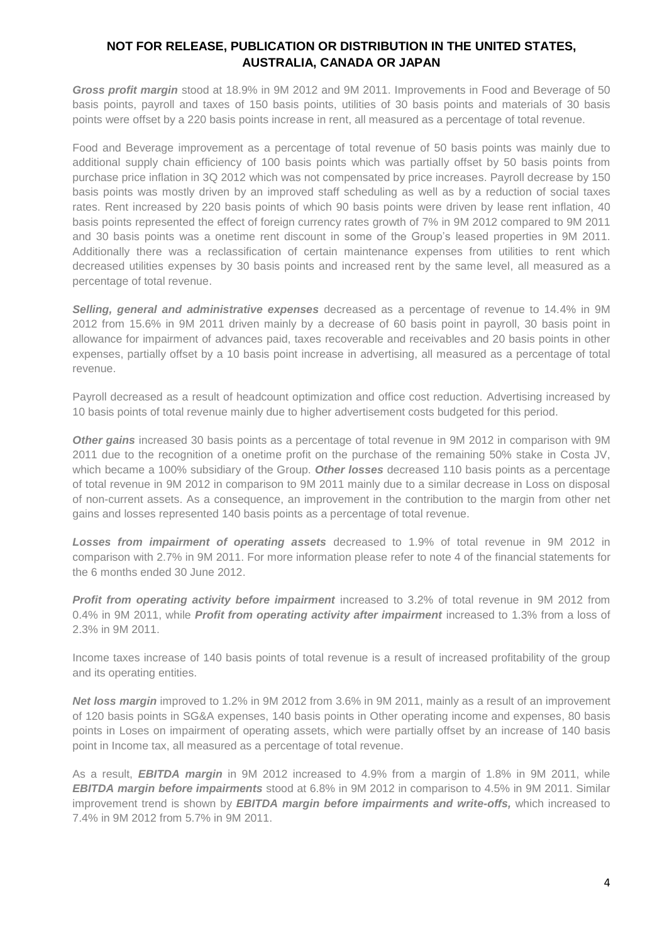*Gross profit margin* stood at 18.9% in 9M 2012 and 9M 2011. Improvements in Food and Beverage of 50 basis points, payroll and taxes of 150 basis points, utilities of 30 basis points and materials of 30 basis points were offset by a 220 basis points increase in rent, all measured as a percentage of total revenue.

Food and Beverage improvement as a percentage of total revenue of 50 basis points was mainly due to additional supply chain efficiency of 100 basis points which was partially offset by 50 basis points from purchase price inflation in 3Q 2012 which was not compensated by price increases. Payroll decrease by 150 basis points was mostly driven by an improved staff scheduling as well as by a reduction of social taxes rates. Rent increased by 220 basis points of which 90 basis points were driven by lease rent inflation, 40 basis points represented the effect of foreign currency rates growth of 7% in 9M 2012 compared to 9M 2011 and 30 basis points was a onetime rent discount in some of the Group's leased properties in 9M 2011. Additionally there was a reclassification of certain maintenance expenses from utilities to rent which decreased utilities expenses by 30 basis points and increased rent by the same level, all measured as a percentage of total revenue.

*Selling, general and administrative expenses* decreased as a percentage of revenue to 14.4% in 9M 2012 from 15.6% in 9M 2011 driven mainly by a decrease of 60 basis point in payroll, 30 basis point in allowance for impairment of advances paid, taxes recoverable and receivables and 20 basis points in other expenses, partially offset by a 10 basis point increase in advertising, all measured as a percentage of total revenue.

Payroll decreased as a result of headcount optimization and office cost reduction. Advertising increased by 10 basis points of total revenue mainly due to higher advertisement costs budgeted for this period.

*Other gains* increased 30 basis points as a percentage of total revenue in 9M 2012 in comparison with 9M 2011 due to the recognition of a onetime profit on the purchase of the remaining 50% stake in Costa JV, which became a 100% subsidiary of the Group. *Other losses* decreased 110 basis points as a percentage of total revenue in 9M 2012 in comparison to 9M 2011 mainly due to a similar decrease in Loss on disposal of non-current assets. As a consequence, an improvement in the contribution to the margin from other net gains and losses represented 140 basis points as a percentage of total revenue.

*Losses from impairment of operating assets* decreased to 1.9% of total revenue in 9M 2012 in comparison with 2.7% in 9M 2011. For more information please refer to note 4 of the financial statements for the 6 months ended 30 June 2012.

**Profit from operating activity before impairment** increased to 3.2% of total revenue in 9M 2012 from 0.4% in 9M 2011, while *Profit from operating activity after impairment* increased to 1.3% from a loss of 2.3% in 9M 2011.

Income taxes increase of 140 basis points of total revenue is a result of increased profitability of the group and its operating entities.

*Net loss margin* improved to 1.2% in 9M 2012 from 3.6% in 9M 2011, mainly as a result of an improvement of 120 basis points in SG&A expenses, 140 basis points in Other operating income and expenses, 80 basis points in Loses on impairment of operating assets, which were partially offset by an increase of 140 basis point in Income tax, all measured as a percentage of total revenue.

As a result, *EBITDA margin* in 9M 2012 increased to 4.9% from a margin of 1.8% in 9M 2011, while *EBITDA margin before impairments* stood at 6.8% in 9M 2012 in comparison to 4.5% in 9M 2011. Similar improvement trend is shown by *EBITDA margin before impairments and write-offs,* which increased to 7.4% in 9M 2012 from 5.7% in 9M 2011.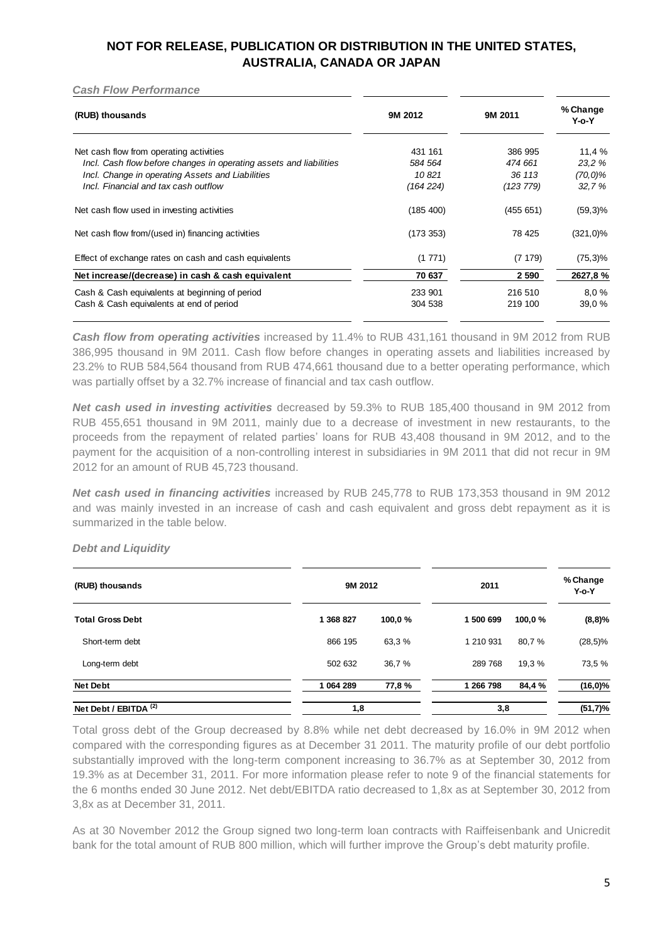*Cash Flow Performance*

| (RUB) thousands                                                    | 9M 2012   | 9M 2011   | % Change<br>$Y$ -o- $Y$ |
|--------------------------------------------------------------------|-----------|-----------|-------------------------|
| Net cash flow from operating activities                            | 431 161   | 386 995   | 11,4%                   |
| Incl. Cash flow before changes in operating assets and liabilities | 584 564   | 474 661   | 23.2 %                  |
| Incl. Change in operating Assets and Liabilities                   | 10821     | 36 113    | $(70,0)\%$              |
| Incl. Financial and tax cash outflow                               | (164 224) | (123 779) | 32.7%                   |
| Net cash flow used in investing activities                         | (185 400) | (455651)  | $(59,3)\%$              |
| Net cash flow from/(used in) financing activities                  | (173 353) | 78 425    | $(321,0)\%$             |
| Effect of exchange rates on cash and cash equivalents              | (1771)    | (7179)    | $(75,3)\%$              |
| Net increase/(decrease) in cash & cash equivalent                  | 70 637    | 2 5 9 0   | 2627,8%                 |
| Cash & Cash equivalents at beginning of period                     | 233 901   | 216 510   | 8.0%                    |
| Cash & Cash equivalents at end of period                           | 304 538   | 219 100   | 39.0%                   |

*Cash flow from operating activities* increased by 11.4% to RUB 431,161 thousand in 9M 2012 from RUB 386,995 thousand in 9M 2011. Cash flow before changes in operating assets and liabilities increased by 23.2% to RUB 584,564 thousand from RUB 474,661 thousand due to a better operating performance, which was partially offset by a 32.7% increase of financial and tax cash outflow.

*Net cash used in investing activities* decreased by 59.3% to RUB 185,400 thousand in 9M 2012 from RUB 455,651 thousand in 9M 2011, mainly due to a decrease of investment in new restaurants, to the proceeds from the repayment of related parties' loans for RUB 43,408 thousand in 9M 2012, and to the payment for the acquisition of a non-controlling interest in subsidiaries in 9M 2011 that did not recur in 9M 2012 for an amount of RUB 45,723 thousand.

*Net cash used in financing activities* increased by RUB 245,778 to RUB 173,353 thousand in 9M 2012 and was mainly invested in an increase of cash and cash equivalent and gross debt repayment as it is summarized in the table below.

*Debt and Liquidity*

| (RUB) thousands                  | 9M 2012   |         | 2011      |        | % Change<br>$Y$ -o- $Y$ |
|----------------------------------|-----------|---------|-----------|--------|-------------------------|
| <b>Total Gross Debt</b>          | 1 368 827 | 100,0 % | 1 500 699 | 100,0% | (8,8)%                  |
| Short-term debt                  | 866 195   | 63,3%   | 1 210 931 | 80,7%  | $(28,5)\%$              |
| Long-term debt                   | 502 632   | 36,7 %  | 289 768   | 19,3%  | 73,5 %                  |
| <b>Net Debt</b>                  | 1 064 289 | 77,8%   | 1 266 798 | 84,4 % | $(16, 0)\%$             |
| Net Debt / EBITDA <sup>(2)</sup> | 1,8       |         | 3,8       |        | (51,7)%                 |

Total gross debt of the Group decreased by 8.8% while net debt decreased by 16.0% in 9M 2012 when compared with the corresponding figures as at December 31 2011. The maturity profile of our debt portfolio substantially improved with the long-term component increasing to 36.7% as at September 30, 2012 from 19.3% as at December 31, 2011. For more information please refer to note 9 of the financial statements for the 6 months ended 30 June 2012. Net debt/EBITDA ratio decreased to 1,8x as at September 30, 2012 from 3,8x as at December 31, 2011.

As at 30 November 2012 the Group signed two long-term loan contracts with Raiffeisenbank and Unicredit bank for the total amount of RUB 800 million, which will further improve the Group's debt maturity profile.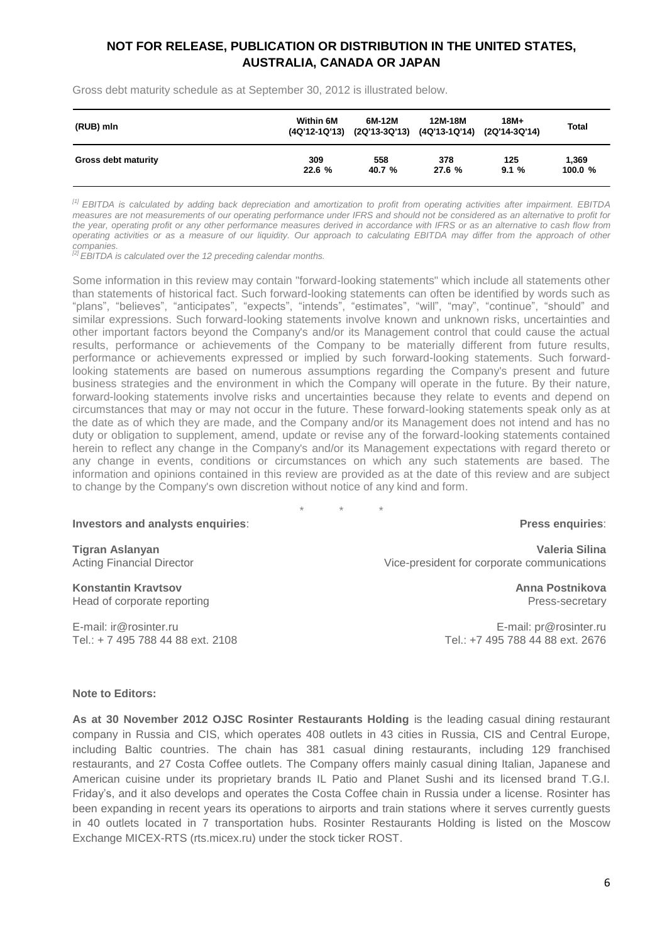Gross debt maturity schedule as at September 30, 2012 is illustrated below.

| (RUB) mln                  | Within 6M | 6M-12M<br>(4Q'12-1Q'13) (2Q'13-3Q'13) (4Q'13-1Q'14) (2Q'14-3Q'14) | 12M-18M | $18M+$ | <b>Total</b> |
|----------------------------|-----------|-------------------------------------------------------------------|---------|--------|--------------|
| <b>Gross debt maturity</b> | 309       | 558                                                               | 378     | 125    | 1.369        |
|                            | 22.6 %    | 40.7 %                                                            | 27.6%   | 9.1%   | 100.0%       |

*[1] EBITDA is calculated by adding back depreciation and amortization to profit from operating activities after impairment. EBITDA measures are not measurements of our operating performance under IFRS and should not be considered as an alternative to profit for the year, operating profit or any other performance measures derived in accordance with IFRS or as an alternative to cash flow from operating activities or as a measure of our liquidity. Our approach to calculating EBITDA may differ from the approach of other companies.*

*[2] EBITDA is calculated over the 12 preceding calendar months.*

Some information in this review may contain "forward-looking statements" which include all statements other than statements of historical fact. Such forward-looking statements can often be identified by words such as "plans", "believes", "anticipates", "expects", "intends", "estimates", "will", "may", "continue", "should" and similar expressions. Such forward-looking statements involve known and unknown risks, uncertainties and other important factors beyond the Company's and/or its Management control that could cause the actual results, performance or achievements of the Company to be materially different from future results, performance or achievements expressed or implied by such forward-looking statements. Such forwardlooking statements are based on numerous assumptions regarding the Company's present and future business strategies and the environment in which the Company will operate in the future. By their nature, forward-looking statements involve risks and uncertainties because they relate to events and depend on circumstances that may or may not occur in the future. These forward-looking statements speak only as at the date as of which they are made, and the Company and/or its Management does not intend and has no duty or obligation to supplement, amend, update or revise any of the forward-looking statements contained herein to reflect any change in the Company's and/or its Management expectations with regard thereto or any change in events, conditions or circumstances on which any such statements are based. The information and opinions contained in this review are provided as at the date of this review and are subject to change by the Company's own discretion without notice of any kind and form.

\* \* \*

#### **Investors and analysts enquiries**:

**Tigran Aslanyan** Acting Financial Director

**Konstantin Kravtsov** Head of corporate reporting

E-mail: [ir@rosinter.ru](mailto:ir@rosinter.ru) Tel.: + 7 495 788 44 88 ext. 2108

#### **Press enquiries**:

**Valeria Silina** Vice-president for corporate communications

> **Anna Postnikova** Press-secretary

E-mail: [pr@rosinter.ru](mailto:pr@rosinter.ru) Tel.: +7 495 788 44 88 ext. 2676

#### **Note to Editors:**

**As at 30 November 2012 OJSC Rosinter Restaurants Holding** is the leading casual dining restaurant company in Russia and CIS, which operates 408 outlets in 43 cities in Russia, CIS and Central Europe, including Baltic countries. The chain has 381 casual dining restaurants, including 129 franchised restaurants, and 27 Costa Coffee outlets. The Company offers mainly casual dining Italian, Japanese and American cuisine under its proprietary brands IL Patio and Planet Sushi and its licensed brand T.G.I. Friday's, and it also develops and operates the Costa Coffee chain in Russia under a license. Rosinter has been expanding in recent years its operations to airports and train stations where it serves currently guests in 40 outlets located in 7 transportation hubs. Rosinter Restaurants Holding is listed on the Moscow Exchange MICEX-RTS (rts.micex.ru) under the stock ticker ROST.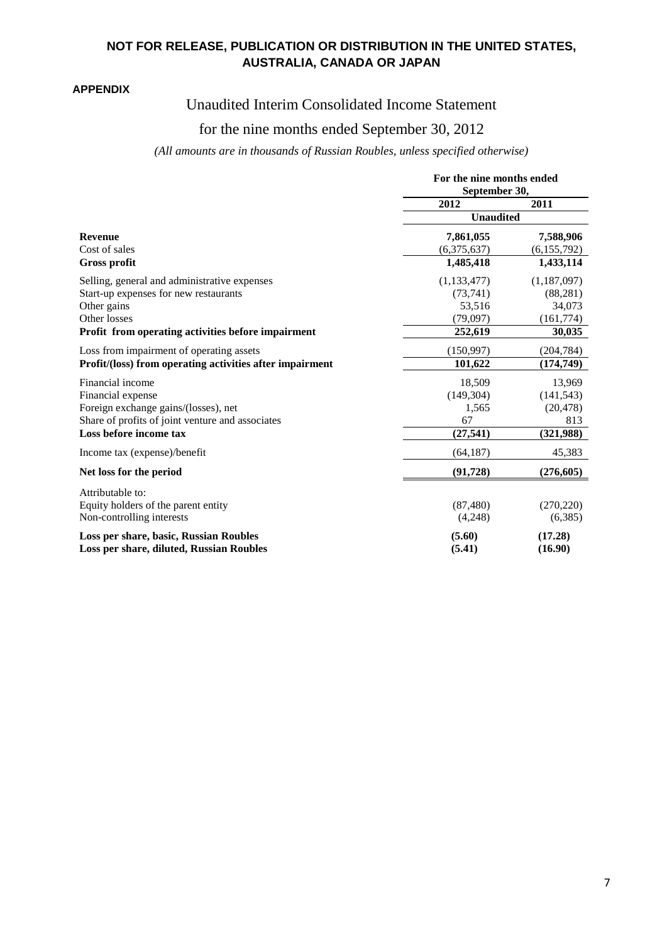#### **APPENDIX**

# Unaudited Interim Consolidated Income Statement

## for the nine months ended September 30, 2012

## *(All amounts are in thousands of Russian Roubles, unless specified otherwise)*

|                                                                                    | For the nine months ended<br>September 30, |                    |  |
|------------------------------------------------------------------------------------|--------------------------------------------|--------------------|--|
|                                                                                    |                                            |                    |  |
|                                                                                    | 2012                                       | 2011               |  |
|                                                                                    | <b>Unaudited</b>                           |                    |  |
| <b>Revenue</b>                                                                     | 7,861,055                                  | 7,588,906          |  |
| Cost of sales                                                                      | (6,375,637)                                | (6,155,792)        |  |
| <b>Gross profit</b>                                                                | 1,485,418                                  | 1,433,114          |  |
| Selling, general and administrative expenses                                       | (1, 133, 477)                              | (1,187,097)        |  |
| Start-up expenses for new restaurants                                              | (73,741)                                   | (88, 281)          |  |
| Other gains                                                                        | 53,516                                     | 34,073             |  |
| Other losses                                                                       | (79,097)                                   | (161,774)          |  |
| Profit from operating activities before impairment                                 | 252,619                                    | 30,035             |  |
| Loss from impairment of operating assets                                           | (150,997)                                  | (204, 784)         |  |
| Profit/(loss) from operating activities after impairment                           | 101,622                                    | (174, 749)         |  |
| Financial income                                                                   | 18,509                                     | 13,969             |  |
| Financial expense                                                                  | (149, 304)                                 | (141, 543)         |  |
| Foreign exchange gains/(losses), net                                               | 1,565                                      | (20, 478)          |  |
| Share of profits of joint venture and associates                                   | 67                                         | 813                |  |
| Loss before income tax                                                             | (27, 541)                                  | (321, 988)         |  |
| Income tax (expense)/benefit                                                       | (64, 187)                                  | 45,383             |  |
| Net loss for the period                                                            | (91, 728)                                  | (276, 605)         |  |
| Attributable to:                                                                   |                                            |                    |  |
| Equity holders of the parent entity                                                | (87, 480)                                  | (270, 220)         |  |
| Non-controlling interests                                                          | (4,248)                                    | (6,385)            |  |
| Loss per share, basic, Russian Roubles<br>Loss per share, diluted, Russian Roubles | (5.60)<br>(5.41)                           | (17.28)<br>(16.90) |  |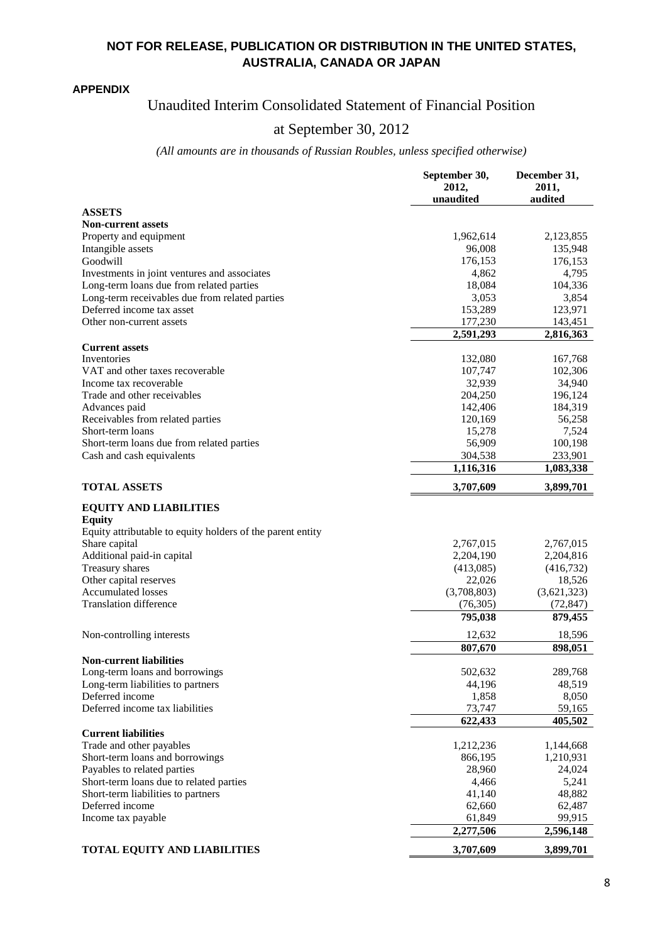#### **APPENDIX**

# Unaudited Interim Consolidated Statement of Financial Position

# at September 30, 2012

#### *(All amounts are in thousands of Russian Roubles, unless specified otherwise)*

|                                                            | September 30,<br>2012,<br>unaudited | December 31,<br>2011,<br>audited |
|------------------------------------------------------------|-------------------------------------|----------------------------------|
| <b>ASSETS</b>                                              |                                     |                                  |
| <b>Non-current assets</b>                                  |                                     |                                  |
| Property and equipment                                     | 1,962,614                           | 2,123,855                        |
| Intangible assets                                          | 96,008                              | 135,948                          |
| Goodwill                                                   | 176,153                             | 176,153                          |
| Investments in joint ventures and associates               | 4,862                               | 4,795                            |
| Long-term loans due from related parties                   | 18,084                              | 104,336                          |
| Long-term receivables due from related parties             | 3,053                               | 3,854                            |
| Deferred income tax asset                                  | 153,289                             | 123,971                          |
| Other non-current assets                                   | 177,230                             | 143,451                          |
|                                                            | 2,591,293                           | 2,816,363                        |
| <b>Current assets</b>                                      |                                     |                                  |
| Inventories                                                | 132,080                             | 167,768                          |
| VAT and other taxes recoverable                            | 107,747                             | 102,306                          |
| Income tax recoverable                                     | 32,939                              | 34,940                           |
| Trade and other receivables                                | 204,250                             | 196,124                          |
| Advances paid                                              | 142,406                             | 184,319                          |
| Receivables from related parties                           | 120,169                             | 56,258                           |
| Short-term loans                                           | 15,278                              | 7,524                            |
| Short-term loans due from related parties                  | 56,909                              | 100,198                          |
| Cash and cash equivalents                                  | 304,538                             | 233,901                          |
|                                                            | 1,116,316                           | 1,083,338                        |
| <b>TOTAL ASSETS</b>                                        | 3,707,609                           | 3,899,701                        |
|                                                            |                                     |                                  |
| <b>EQUITY AND LIABILITIES</b>                              |                                     |                                  |
| <b>Equity</b>                                              |                                     |                                  |
| Equity attributable to equity holders of the parent entity |                                     |                                  |
| Share capital                                              | 2,767,015                           | 2,767,015                        |
| Additional paid-in capital                                 | 2,204,190                           | 2,204,816                        |
| <b>Treasury shares</b>                                     | (413,085)                           | (416, 732)                       |
| Other capital reserves<br><b>Accumulated losses</b>        | 22,026                              | 18,526                           |
| <b>Translation difference</b>                              | (3,708,803)                         | (3,621,323)                      |
|                                                            | (76,305)                            | (72, 847)                        |
|                                                            | 795,038                             | 879,455                          |
| Non-controlling interests                                  | 12,632                              | 18,596                           |
|                                                            | 807,670                             | 898,051                          |
| Non-current liabilities                                    |                                     |                                  |
| Long-term loans and borrowings                             | 502,632                             | 289,768                          |
| Long-term liabilities to partners                          | 44,196                              | 48,519                           |
| Deferred income                                            | 1,858                               | 8,050                            |
| Deferred income tax liabilities                            | 73,747                              | 59,165                           |
|                                                            | 622,433                             | 405,502                          |
| <b>Current liabilities</b>                                 |                                     |                                  |
| Trade and other payables                                   | 1,212,236                           | 1,144,668                        |
| Short-term loans and borrowings                            | 866,195                             | 1,210,931                        |
| Payables to related parties                                | 28,960                              | 24,024                           |
| Short-term loans due to related parties                    | 4,466                               | 5,241                            |
| Short-term liabilities to partners                         | 41,140                              | 48,882                           |
| Deferred income                                            | 62,660                              | 62,487                           |
| Income tax payable                                         | 61,849                              | 99,915                           |
|                                                            | 2,277,506                           | 2,596,148                        |
| <b>TOTAL EQUITY AND LIABILITIES</b>                        | 3,707,609                           | 3,899,701                        |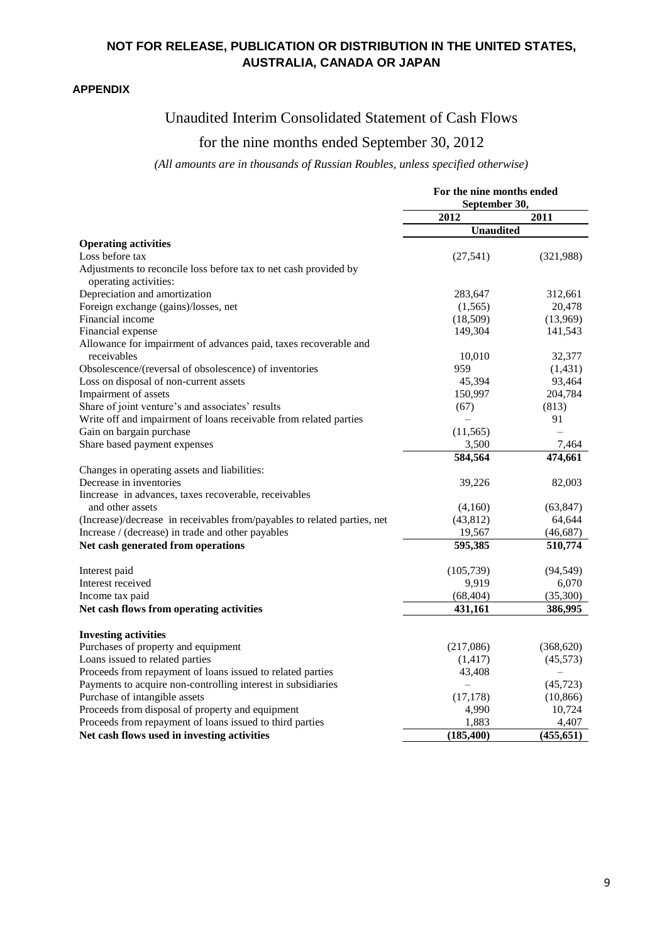#### **APPENDIX**

# Unaudited Interim Consolidated Statement of Cash Flows

# for the nine months ended September 30, 2012

## *(All amounts are in thousands of Russian Roubles, unless specified otherwise)*

|                                                                                           | For the nine months ended<br>September 30, |            |
|-------------------------------------------------------------------------------------------|--------------------------------------------|------------|
|                                                                                           | 2012                                       | 2011       |
|                                                                                           | <b>Unaudited</b>                           |            |
| <b>Operating activities</b>                                                               |                                            |            |
| Loss before tax                                                                           | (27, 541)                                  | (321,988)  |
| Adjustments to reconcile loss before tax to net cash provided by<br>operating activities: |                                            |            |
| Depreciation and amortization                                                             | 283,647                                    | 312,661    |
| Foreign exchange (gains)/losses, net                                                      | (1,565)                                    | 20,478     |
| Financial income                                                                          | (18,509)                                   | (13,969)   |
| Financial expense                                                                         | 149,304                                    | 141,543    |
| Allowance for impairment of advances paid, taxes recoverable and                          |                                            |            |
| receivables                                                                               | 10,010                                     | 32,377     |
| Obsolescence/(reversal of obsolescence) of inventories                                    | 959                                        | (1,431)    |
| Loss on disposal of non-current assets                                                    | 45,394                                     | 93,464     |
| Impairment of assets                                                                      | 150,997                                    | 204,784    |
| Share of joint venture's and associates' results                                          | (67)                                       | (813)      |
| Write off and impairment of loans receivable from related parties                         |                                            | 91         |
| Gain on bargain purchase                                                                  | (11, 565)                                  |            |
| Share based payment expenses                                                              | 3,500                                      | 7,464      |
|                                                                                           | 584,564                                    | 474,661    |
| Changes in operating assets and liabilities:                                              |                                            |            |
| Decrease in inventories                                                                   | 39,226                                     | 82,003     |
| Increase in advances, taxes recoverable, receivables                                      |                                            |            |
| and other assets                                                                          | (4,160)                                    | (63, 847)  |
| (Increase)/decrease in receivables from/payables to related parties, net                  | (43, 812)                                  | 64,644     |
| Increase / (decrease) in trade and other payables                                         | 19,567                                     | (46, 687)  |
| Net cash generated from operations                                                        | 595,385                                    | 510,774    |
| Interest paid                                                                             | (105, 739)                                 | (94, 549)  |
| Interest received                                                                         | 9,919                                      | 6,070      |
| Income tax paid                                                                           | (68, 404)                                  | (35,300)   |
| Net cash flows from operating activities                                                  | 431,161                                    | 386,995    |
| <b>Investing activities</b>                                                               |                                            |            |
| Purchases of property and equipment                                                       | (217,086)                                  | (368, 620) |
| Loans issued to related parties                                                           | (1, 417)                                   | (45, 573)  |
| Proceeds from repayment of loans issued to related parties                                | 43,408                                     |            |
| Payments to acquire non-controlling interest in subsidiaries                              | $\overline{\phantom{0}}$                   | (45, 723)  |
| Purchase of intangible assets                                                             | (17, 178)                                  | (10, 866)  |
| Proceeds from disposal of property and equipment                                          | 4,990                                      | 10,724     |
| Proceeds from repayment of loans issued to third parties                                  | 1,883                                      | 4,407      |
| Net cash flows used in investing activities                                               | (185, 400)                                 | (455, 651) |